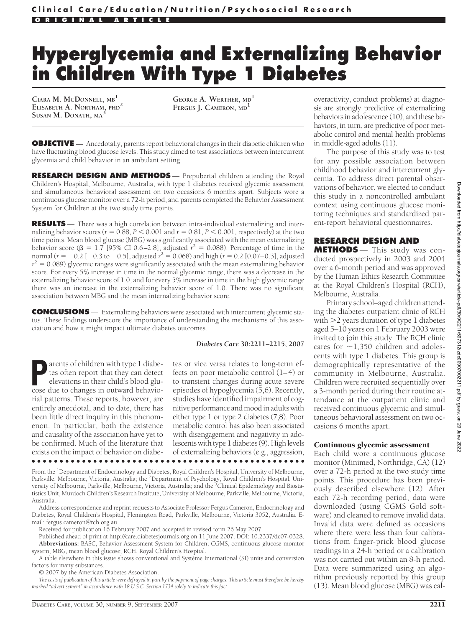# **Hyperglycemia and Externalizing Behavior in Children With Type 1 Diabetes**

**CIARA M. MCDONNELL, MB<sup>1</sup> ELISABETH A. NORTHAM, PHD<sup>2</sup> SUSAN M. DONATH, MA<sup>3</sup>**

**GEORGE A. WERTHER, MD<sup>1</sup> FERGUS J. CAMERON, MD<sup>1</sup>**

**OBJECTIVE** — Ancedotally, parents report behavioral changes in their diabetic children who have fluctuating blood glucose levels. This study aimed to test associations between intercurrent glycemia and child behavior in an ambulant setting.

**RESEARCH DESIGN AND METHODS** — Prepubertal children attending the Royal Children's Hospital, Melbourne, Australia, with type 1 diabetes received glycemic assessment and simultaneous behavioral assessment on two occasions 6 months apart. Subjects wore a continuous glucose monitor over a 72-h period, and parents completed the Behavior Assessment System for Children at the two study time points.

**RESULTS** — There was a high correlation between intra-individual externalizing and internalizing behavior scores ( $r = 0.88$ ,  $P < 0.001$  and  $r = 0.81$ ,  $P < 0.001$ , respectively) at the two time points. Mean blood glucose (MBG) was significantly associated with the mean externalizing behavior score ( $\beta = 1.7$  [95% CI 0.6–2.8], adjusted  $r^2 = 0.088$ ). Percentage of time in the normal ( $r = -0.2$  [ $-0.3$  to  $-0.5$ ], adjusted  $r^2 = 0.068$ ) and high ( $r = 0.2$  [0.07–0.3], adjusted  $r^2 = 0.089$ ) glycemic ranges were significantly associated with the mean externalizing behavior score. For every 5% increase in time in the normal glycemic range, there was a decrease in the externalizing behavior score of 1.0, and for every 5% increase in time in the high glycemic range there was an increase in the externalizing behavior score of 1.0. There was no significant association between MBG and the mean internalizing behavior score.

**CONCLUSIONS** — Externalizing behaviors were associated with intercurrent glycemic status. These findings underscore the importance of understanding the mechanisms of this association and how it might impact ultimate diabetes outcomes.

#### *Diabetes Care* **30:2211–2215, 2007**

**Parents of children with type 1 diabe-**<br>tes often report that they can detect<br>elevations in their child's blood glu-<br>cose due to changes in outward behaviotes often report that they can detect elevations in their child's blood glucose due to changes in outward behaviorial patterns. These reports, however, are entirely anecdotal, and to date, there has been little direct inquiry in this phenomenon. In particular, both the existence and causality of the association have yet to be confirmed. Much of the literature that exists on the impact of behavior on diabe-●●●●●●●●●●●●●●●●●●●●●●●●●●●●●●●●●●●●●●●●●●●●●●●●●

tes or vice versa relates to long-term effects on poor metabolic control (1–4) or to transient changes during acute severe episodes of hypoglycemia (5,6). Recently, studies have identified impairment of cognitive performance and mood in adults with either type 1 or type 2 diabetes (7,8). Poor metabolic control has also been associated with disengagement and negativity in adolescents with type 1 diabetes (9). High levels of externalizing behaviors (e.g., aggression,

From the <sup>1</sup>Department of Endocrinology and Diabetes, Royal Children's Hospital, University of Melbourne, Parkville, Melbourne, Victoria, Australia; the <sup>2</sup>Department of Psychology, Royal Children's Hospital, University of Melbourne, Parkville, Melbourne, Victoria, Australia; and the <sup>3</sup>Clinical Epidemiology and Biostatistics Unit, Murdoch Children's Research Institute, University of Melbourne, Parkville, Melbourne, Victoria, Australia.

Address correspondence and reprint requests to Associate Professor Fergus Cameron, Endocrinology and Diabetes, Royal Children's Hospital, Flemington Road, Parkville, Melbourne, Victoria 3052, Australia. Email: fergus.cameron@rch.org.au.

Received for publication 16 February 2007 and accepted in revised form 26 May 2007.

Published ahead of print at http://care.diabetesjournals.org on 11 June 2007. DOI: 10.2337/dc07-0328. **Abbreviations:** BASC, Behavior Assessment System for Children; CGMS, continuous glucose monitor system; MBG, mean blood glucose; RCH, Royal Children's Hospital.

A table elsewhere in this issue shows conventional and Système International (SI) units and conversion factors for many substances.

© 2007 by the American Diabetes Association.

*The costs of publication of this article were defrayed in part by the payment of page charges. This article must therefore be hereby marked "advertisement" in accordance with 18 U.S.C. Section 1734 solely to indicate this fact.*

overactivity, conduct problems) at diagnosis are strongly predictive of externalizing behaviors in adolescence (10), and these behaviors, in turn, are predictive of poor metabolic control and mental health problems in middle-aged adults (11).

The purpose of this study was to test for any possible association between childhood behavior and intercurrent glycemia. To address direct parental observations of behavior, we elected to conduct this study in a noncontrolled ambulant context using continuous glucose monitoring techniques and standardized parent-report behavioral questionnaires.

## **RESEARCH DESIGN AND**

**METHODS** — This study was conducted prospectively in 2003 and 2004 over a 6-month period and was approved by the Human Ethics Research Committee at the Royal Children's Hospital (RCH), Melbourne, Australia.

Primary school–aged children attending the diabetes outpatient clinic of RCH with  $>$ 2 years duration of type 1 diabetes aged 5–10 years on 1 February 2003 were invited to join this study. The RCH clinic cares for  $\sim$ 1,350 children and adolescents with type 1 diabetes. This group is demographically representative of the community in Melbourne, Australia. Children were recruited sequentially over a 3-month period during their routine attendance at the outpatient clinic and received continuous glycemic and simultaneous behavioral assessment on two occasions 6 months apart.

#### Continuous glycemic assessment

Each child wore a continuous glucose monitor (Minimed, Northridge, CA) (12) over a 72-h period at the two study time points. This procedure has been previously described elsewhere (12). After each 72-h recording period, data were downloaded (using CGMS Gold software) and cleaned to remove invalid data. Invalid data were defined as occasions where there were less than four calibrations from finger-prick blood glucose readings in a 24-h period or a calibration was not carried out within an 8-h period. Data were summarized using an algorithm previously reported by this group (13). Mean blood glucose (MBG) was cal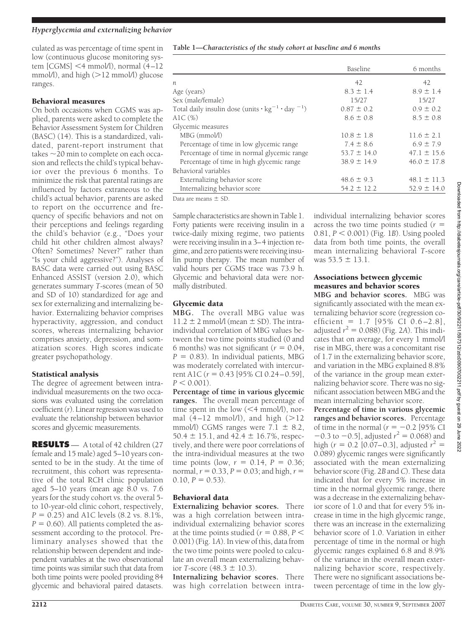culated as was percentage of time spent in low (continuous glucose monitoring system [CGMS] <4 mmol/l), normal (4–12 mmol/l), and high  $(>12 \text{ mmol/l})$  glucose ranges.

## Behavioral measures

On both occasions when CGMS was applied, parents were asked to complete the Behavior Assessment System for Children (BASC) (14). This is a standardized, validated, parent-report instrument that takes  $\sim$ 20 min to complete on each occasion and reflects the child's typical behavior over the previous 6 months. To minimize the risk that parental ratings are influenced by factors extraneous to the child's actual behavior, parents are asked to report on the occurrence and frequency of specific behaviors and not on their perceptions and feelings regarding the child's behavior (e.g., "Does your child hit other children almost always? Often? Sometimes? Never?" rather than "Is your child aggressive?"). Analyses of BASC data were carried out using BASC Enhanced ASSIST (version 2.0), which generates summary *T*-scores (mean of 50 and SD of 10) standardized for age and sex for externalizing and internalizing behavior. Externalizing behavior comprises hyperactivity, aggression, and conduct scores, whereas internalizing behavior comprises anxiety, depression, and somatization scores. High scores indicate greater psychopathology.

# Statistical analysis

The degree of agreement between intraindividual measurements on the two occasions was evaluated using the correlation coefficient (*r*). Linear regression was used to evaluate the relationship between behavior scores and glycemic measurements.

**RESULTS** — A total of 42 children (27 female and 15 male) aged 5–10 years consented to be in the study. At the time of recruitment, this cohort was representative of the total RCH clinic population aged 5–10 years (mean age 8.0 vs. 7.6 years for the study cohort vs. the overal 5 to 10-year-old clinic cohort, respectively,  $P = 0.25$ ) and A1C levels  $(8.2 \text{ vs. } 8.1\%$ ,  $P = 0.60$ ). All patients completed the assessment according to the protocol. Preliminary analyses showed that the relationship between dependent and independent variables at the two observational time points was similar such that data from both time points were pooled providing 84 glycemic and behavioral paired datasets.

**Table 1—***Characteristics of the study cohort at baseline and 6 months*

|                                                                                      | Baseline        | 6 months        |
|--------------------------------------------------------------------------------------|-----------------|-----------------|
| $\boldsymbol{n}$                                                                     | 42              | 42              |
| Age (years)                                                                          | $8.3 \pm 1.4$   | $8.9 \pm 1.4$   |
| Sex (male/female)                                                                    | 15/27           | 15/27           |
| Total daily insulin dose (units $\cdot$ kg <sup>-1</sup> $\cdot$ day <sup>-1</sup> ) | $0.87 \pm 0.2$  | $0.9 \pm 0.2$   |
| AlC $(\%)$                                                                           | $8.6 \pm 0.8$   | $8.5 \pm 0.8$   |
| Glycemic measures                                                                    |                 |                 |
| $MBG$ (mmol/l)                                                                       | $10.8 \pm 1.8$  | $11.6 \pm 2.1$  |
| Percentage of time in low glycemic range                                             | $7.4 \pm 8.6$   | $6.9 \pm 7.9$   |
| Percentage of time in normal glycemic range                                          | $53.7 \pm 14.0$ | $47.1 \pm 15.6$ |
| Percentage of time in high glycemic range                                            | $38.9 \pm 14.9$ | $46.0 \pm 17.8$ |
| Behavioral variables                                                                 |                 |                 |
| Externalizing behavior score                                                         | $48.6 \pm 9.3$  | $48.1 \pm 11.3$ |
| Internalizing behavior score                                                         | $54.2 \pm 12.2$ | $52.9 \pm 14.0$ |
|                                                                                      |                 |                 |

Data are means  $\pm$  SD

Sample characteristics are shown in Table 1. Forty patients were receiving insulin in a twice-daily mixing regime, two patients were receiving insulin in a 3–4 injection regime, and zero patients were receiving insulin pump therapy. The mean number of valid hours per CGMS trace was 73.9 h. Glycemic and behavioral data were normally distributed.

## Glycemic data

**MBG.** The overall MBG value was  $11.2 \pm 2$  mmol/l (mean  $\pm$  SD). The intraindividual correlation of MBG values between the two time points studied (0 and 6 months) was not significant ( $r = 0.04$ ,  $P = 0.83$ ). In individual patients, MBG was moderately correlated with intercurrent A1C ( $r = 0.43$  [95% CI 0.24–0.59],  $P < 0.001$ ).

**Percentage of time in various glycemic ranges.** The overall mean percentage of time spent in the low  $(<$  4 mmol/l), normal  $(4-12 \text{ mmol/l})$ , and high  $(>12$ mmol/l) CGMS ranges were  $7.1 \pm 8.2$ , 50.4  $\pm$  15.1, and 42.4  $\pm$  16.7%, respectively, and there were poor correlations of the intra-individual measures at the two time points (low,  $r = 0.14$ ,  $P = 0.36$ ; normal,  $r = 0.33$ ,  $P = 0.03$ ; and high,  $r =$  $0.10, P = 0.53$ .

# Behavioral data

**Externalizing behavior scores.** There was a high correlation between intraindividual externalizing behavior scores at the time points studied ( $r = 0.88, P <$ 0.001) (Fig. 1*A*). In view of this, data from the two time points were pooled to calculate an overall mean externalizing behavior *T*-score  $(48.3 \pm 10.3)$ .

**Internalizing behavior scores.** There was high correlation between intraindividual internalizing behavior scores across the two time points studied (*r* 0.81, *P* - 0.001) (Fig. 1*B*). Using pooled data from both time points, the overall mean internalizing behavioral *T*-score was  $53.5 \pm 13.1$ .

# Associations between glycemic measures and behavior scores

**MBG and behavior scores.** MBG was significantly associated with the mean externalizing behavior score (regression coefficient =  $1.7$  [95% CI 0.6-2.8], adjusted  $r^2 = 0.088$ ) (Fig. 2*A*). This indicates that on average, for every 1 mmol/l rise in MBG, there was a concomitant rise of 1.7 in the externalizing behavior score, and variation in the MBG explained 8.8% of the variance in the group mean externalizing behavior score. There was no significant association between MBG and the mean internalizing behavior score.

**Percentage of time in various glycemic ranges and behavior scores.** Percentage of time in the normal ( $r = -0.2$  [95% CI]  $-0.3$  to  $-0.5$ ], adjusted  $r^2 = 0.068$ ) and high ( $r = 0.2$  [0.07–0.3], adjusted  $r^2 =$ 0.089) glycemic ranges were significantly associated with the mean externalizing behavior score (Fig. 2*B* and *C*). These data indicated that for every 5% increase in time in the normal glycemic range, there was a decrease in the externalizing behavior score of 1.0 and that for every 5% increase in time in the high glycemic range, there was an increase in the externalizing behavior score of 1.0. Variation in either percentage of time in the normal or high glycemic ranges explained 6.8 and 8.9% of the variance in the overall mean externalizing behavior score, respectively. There were no significant associations between percentage of time in the low gly-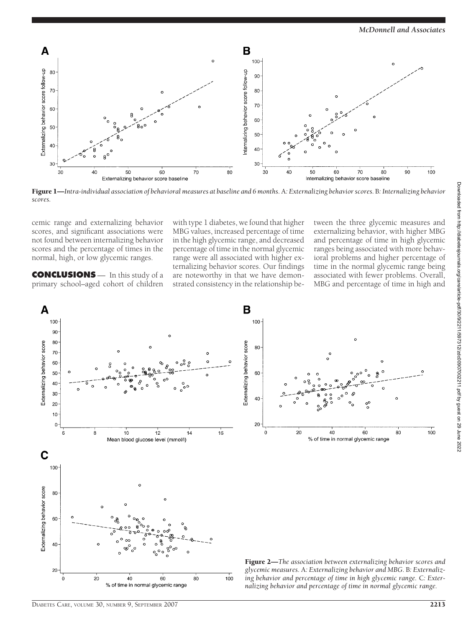

Figure 1—*Intra-individual association of behavioral measures at baseline and 6 months.* A*: Externalizing behavior scores.* B*: Internalizing behavior scores.*

cemic range and externalizing behavior scores, and significant associations were not found between internalizing behavior scores and the percentage of times in the normal, high, or low glycemic ranges.

**CONCLUSIONS** — In this study of a primary school–aged cohort of children

with type 1 diabetes, we found that higher MBG values, increased percentage of time in the high glycemic range, and decreased percentage of time in the normal glycemic range were all associated with higher externalizing behavior scores. Our findings are noteworthy in that we have demonstrated consistency in the relationship between the three glycemic measures and externalizing behavior, with higher MBG and percentage of time in high glycemic ranges being associated with more behavioral problems and higher percentage of time in the normal glycemic range being associated with fewer problems. Overall, MBG and percentage of time in high and



% of time in normal glycemic range

*glycemic measures.* A*: Externalizing behavior and MBG.* B*: Externalizing behavior and percentage of time in high glycemic range.* C*: Externalizing behavior and percentage of time in normal glycemic range.*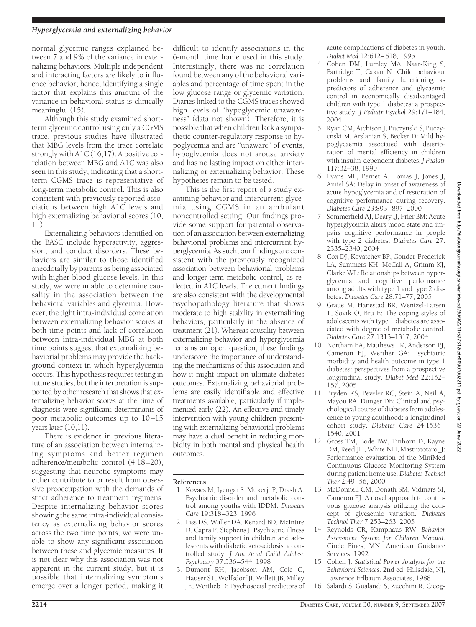### *Hyperglycemia and externalizing behavior*

normal glycemic ranges explained between 7 and 9% of the variance in externalizing behaviors. Multiple independent and interacting factors are likely to influence behavior; hence, identifying a single factor that explains this amount of the variance in behavioral status is clinically meaningful (15).

Although this study examined shortterm glycemic control using only a CGMS trace, previous studies have illustrated that MBG levels from the trace correlate strongly with A1C (16,17). A positive correlation between MBG and A1C was also seen in this study, indicating that a shortterm CGMS trace is representative of long-term metabolic control. This is also consistent with previously reported associations between high A1C levels and high externalizing behaviorial scores (10, 11).

Externalizing behaviors identified on the BASC include hyperactivity, aggression, and conduct disorders. These behaviors are similar to those identified anecdotally by parents as being associated with higher blood glucose levels. In this study, we were unable to determine causality in the association between the behavioral variables and glycemia. However, the tight intra-individual correlation between externalizing behavior scores at both time points and lack of correlation between intra-individual MBG at both time points suggest that externalizing behaviorial problems may provide the background context in which hyperglycemia occurs. This hypothesis requires testing in future studies, but the interpretation is supported by other research that shows that externalizing behavior scores at the time of diagnosis were significant determinants of poor metabolic outcomes up to 10–15 years later (10,11).

There is evidence in previous literature of an association between internalizing symptoms and better regimen adherence/metabolic control (4,18–20), suggesting that neurotic symptoms may either contribute to or result from obsessive preoccupation with the demands of strict adherence to treatment regimens. Despite internalizing behavior scores showing the same intra-individual consistency as externalizing behavior scores across the two time points, we were unable to show any significant association between these and glycemic measures. It is not clear why this association was not apparent in the current study, but it is possible that internalizing symptoms emerge over a longer period, making it

difficult to identify associations in the 6-month time frame used in this study. Interestingly, there was no correlation found between any of the behavioral variables and percentage of time spent in the low glucose range or glycemic variation. Diaries linked to the CGMS traces showed high levels of "hypoglycemic unawareness" (data not shown). Therefore, it is possible that when children lack a sympathetic counter-regulatory response to hypoglycemia and are "unaware" of events, hypoglycemia does not arouse anxiety and has no lasting impact on either internalizing or externalizing behavior. These hypotheses remain to be tested.

This is the first report of a study examining behavior and intercurrent glycemia using CGMS in an ambulant noncontrolled setting. Our findings provide some support for parental observation of an association between externalizing behaviorial problems and intercurrent hyperglycemia. As such, our findings are consistent with the previously recognized association between behaviorial problems and longer-term metabolic control, as reflected in A1C levels. The current findings are also consistent with the developmental psychopathology literature that shows moderate to high stability in externalizing behaviors, particularly in the absence of treatment (21). Whereas causality between externalizing behavior and hyperglycemia remains an open question, these findings underscore the importance of understanding the mechanisms of this association and how it might impact on ultimate diabetes outcomes. Externalizing behaviorial problems are easily identifiable and effective treatments available, particularly if implemented early (22). An effective and timely intervention with young children presenting with externalizing behaviorial problems may have a dual benefit in reducing morbidity in both mental and physical health outcomes.

### **References**

- 1. Kovacs M, Iyengar S, Mukerji P, Drash A: Psychiatric disorder and metabolic control among youths with IDDM. *Diabetes Care* 19:318–323, 1996
- 2. Liss DS, Waller DA, Kenard BD, McIntire D, Capra P, Stephens J: Psychiatric illness and family support in children and adolescents with diabetic ketoacidosis: a controlled study. *J Am Acad Child Adolesc Psychiatry* 37:536–544, 1998
- 3. Dumont RH, Jacobson AM, Cole C, Hauser ST, Wolfsdorf JI, Willett JB, Milley JE, Wertlieb D: Psychosocial predictors of

acute complications of diabetes in youth. *Diabet Med* 12:612–618, 1995

- 4. Cohen DM, Lumley MA, Naar-King S, Partridge T, Cakan N: Child behaviour problems and family functioning as predictors of adherence and glycaemic control in economically disadvantaged children with type 1 diabetes: a prospective study. *J Pediatr Psychol* 29:171–184, 2004
- 5. Ryan CM, Atchison J, Puczynski S, Puczycnski M, Arslanian S, Becker D: Mild hypoglycaemia associated with deterioration of mental efficiency in children with insulin-dependent diabetes. *J Pediatr* 117:32–38, 1990
- 6. Evans ML, Pernet A, Lomas J, Jones J, Amiel SA: Delay in onset of awareness of acute hypoglycemia and of restoration of cognitive performance during recovery. *Diabetes Care* 23:893–897, 2000
- 7. Sommerfield AJ, Deary IJ, Frier BM: Acute hyperglycemia alters mood state and impairs cognitive performance in people with type 2 diabetes. *Diabetes Care* 27: 2335–2340, 2004
- 8. Cox DJ, Kovatchev BP, Gonder-Frederick LA, Summers KH, McCall A, Grimm KJ, Clarke WL: Relationships between hyperglycemia and cognitive performance among adults with type 1 and type 2 diabetes. *Diabetes Care* 28:71–77, 2005
- 9. Graue M, Hanestad BR, Wentzel-Larsen T, Sovik O, Bru E: The coping styles of adolescents with type 1 diabetes are associated with degree of metabolic control. *Diabetes Care* 27:1313–1317, 2004
- 10. Northam EA, Matthews LK, Anderson PJ, Cameron FJ, Werther GA: Psychiatric morbidity and health outcome in type 1 diabetes: perspectives from a prospective longitudinal study. *Diabet Med* 22:152– 157, 2005
- 11. Bryden KS, Peveler RC, Stein A, Neil A, Mayou RA, Dunger DB: Clinical and psychological course of diabetes from adolescence to young adulthood: a longitudinal cohort study. *Diabetes Care* 24:1536– 1540, 2001
- 12. Gross TM, Bode BW, Einhorn D, Kayne DM, Reed JH, White NH, Mastrototaro JJ: Performance evaluation of the MiniMed Continuous Glucose Monitoring System during patient home use. *Diabetes Technol Ther* 2:49–56, 2000
- 13. McDonnell CM, Donath SM, Vidmars SI, Cameron FJ: A novel approach to continuous glucose analysis utilizing the concept of glycaemic variation. *Diabetes Technol Ther* 7:253–263, 2005
- 14. Reynolds CR, Kamphaus RW: *Behavior Assessment System for Children Manual*. Circle Pines, MN, American Guidance Services, 1992
- 15. Cohen J: *Statistical Power Analysis for the Behavioral Sciences*. 2nd ed. Hillsdale, NJ, Lawrence Erlbaum Associates, 1988
- 16. Salardi S, Gualandi S, Zucchini R, Cicog-